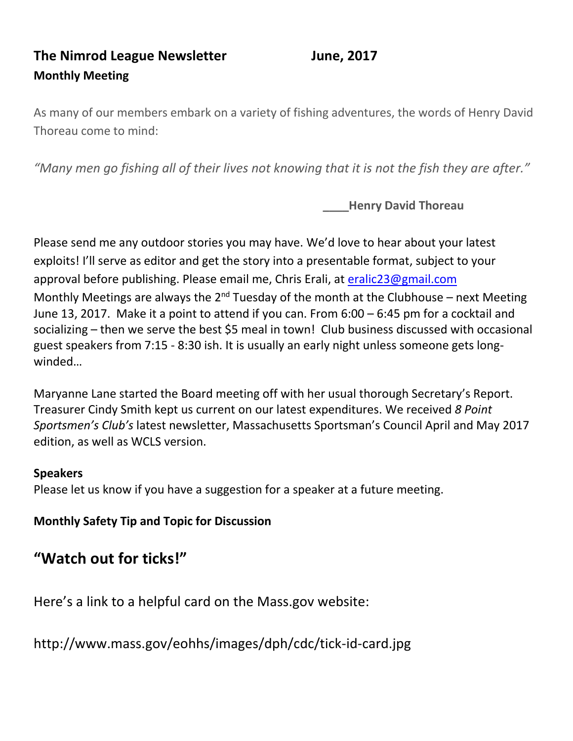# **The Nimrod League Newsletter June, 2017 Monthly Meeting**

As many of our members embark on a variety of fishing adventures, the words of Henry David Thoreau come to mind:

*"Many men go fishing all of their lives not knowing that it is not the fish they are after."*

**Henry David Thoreau** 

Please send me any outdoor stories you may have. We'd love to hear about your latest exploits! I'll serve as editor and get the story into a presentable format, subject to your approval before publishing. Please email me, Chris Erali, at [eralic23@gmail.com](mailto:eralic23@gmail.com) Monthly Meetings are always the  $2^{nd}$  Tuesday of the month at the Clubhouse – next Meeting June 13, 2017. Make it a point to attend if you can. From 6:00 – 6:45 pm for a cocktail and socializing – then we serve the best \$5 meal in town! Club business discussed with occasional guest speakers from 7:15 - 8:30 ish. It is usually an early night unless someone gets longwinded…

Maryanne Lane started the Board meeting off with her usual thorough Secretary's Report. Treasurer Cindy Smith kept us current on our latest expenditures. We received *8 Point Sportsmen's Club's* latest newsletter, Massachusetts Sportsman's Council April and May 2017 edition, as well as WCLS version.

#### **Speakers**

Please let us know if you have a suggestion for a speaker at a future meeting.

**Monthly Safety Tip and Topic for Discussion**

# **"Watch out for ticks!"**

Here's a link to a helpful card on the Mass.gov website:

http://www.mass.gov/eohhs/images/dph/cdc/tick-id-card.jpg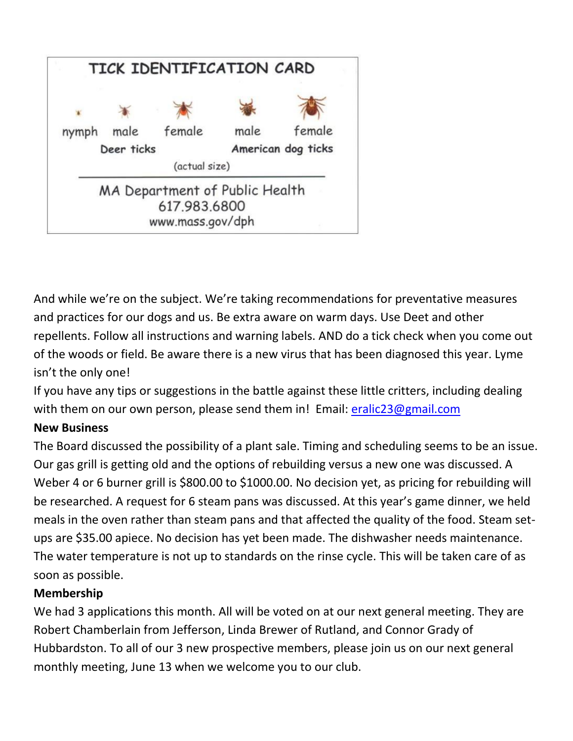

And while we're on the subject. We're taking recommendations for preventative measures and practices for our dogs and us. Be extra aware on warm days. Use Deet and other repellents. Follow all instructions and warning labels. AND do a tick check when you come out of the woods or field. Be aware there is a new virus that has been diagnosed this year. Lyme isn't the only one!

If you have any tips or suggestions in the battle against these little critters, including dealing with them on our own person, please send them in! Email: [eralic23@gmail.com](mailto:eralic23@gmail.com)

#### **New Business**

The Board discussed the possibility of a plant sale. Timing and scheduling seems to be an issue. Our gas grill is getting old and the options of rebuilding versus a new one was discussed. A Weber 4 or 6 burner grill is \$800.00 to \$1000.00. No decision yet, as pricing for rebuilding will be researched. A request for 6 steam pans was discussed. At this year's game dinner, we held meals in the oven rather than steam pans and that affected the quality of the food. Steam setups are \$35.00 apiece. No decision has yet been made. The dishwasher needs maintenance. The water temperature is not up to standards on the rinse cycle. This will be taken care of as soon as possible.

## **Membership**

We had 3 applications this month. All will be voted on at our next general meeting. They are Robert Chamberlain from Jefferson, Linda Brewer of Rutland, and Connor Grady of Hubbardston. To all of our 3 new prospective members, please join us on our next general monthly meeting, June 13 when we welcome you to our club.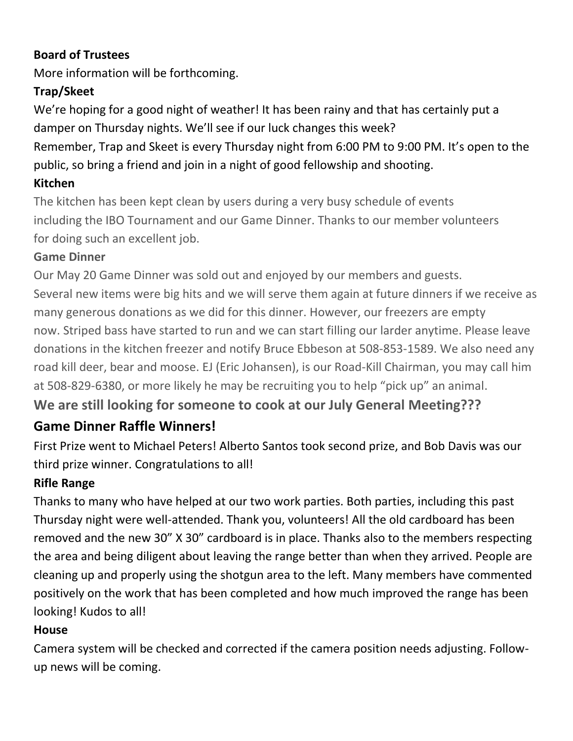## **Board of Trustees**

More information will be forthcoming.

# **Trap/Skeet**

We're hoping for a good night of weather! It has been rainy and that has certainly put a damper on Thursday nights. We'll see if our luck changes this week?

Remember, Trap and Skeet is every Thursday night from 6:00 PM to 9:00 PM. It's open to the public, so bring a friend and join in a night of good fellowship and shooting.

## **Kitchen**

The kitchen has been kept clean by users during a very busy schedule of events including the IBO Tournament and our Game Dinner. Thanks to our member volunteers for doing such an excellent job.

## **Game Dinner**

Our May 20 Game Dinner was sold out and enjoyed by our members and guests. Several new items were big hits and we will serve them again at future dinners if we receive as many generous donations as we did for this dinner. However, our freezers are empty now. Striped bass have started to run and we can start filling our larder anytime. Please leave donations in the kitchen freezer and notify Bruce Ebbeson at 508-853-1589. We also need any road kill deer, bear and moose. EJ (Eric Johansen), is our Road-Kill Chairman, you may call him at 508-829-6380, or more likely he may be recruiting you to help "pick up" an animal.

**We are still looking for someone to cook at our July General Meeting???**

# **Game Dinner Raffle Winners!**

First Prize went to Michael Peters! Alberto Santos took second prize, and Bob Davis was our third prize winner. Congratulations to all!

## **Rifle Range**

Thanks to many who have helped at our two work parties. Both parties, including this past Thursday night were well-attended. Thank you, volunteers! All the old cardboard has been removed and the new 30" X 30" cardboard is in place. Thanks also to the members respecting the area and being diligent about leaving the range better than when they arrived. People are cleaning up and properly using the shotgun area to the left. Many members have commented positively on the work that has been completed and how much improved the range has been looking! Kudos to all!

## **House**

Camera system will be checked and corrected if the camera position needs adjusting. Followup news will be coming.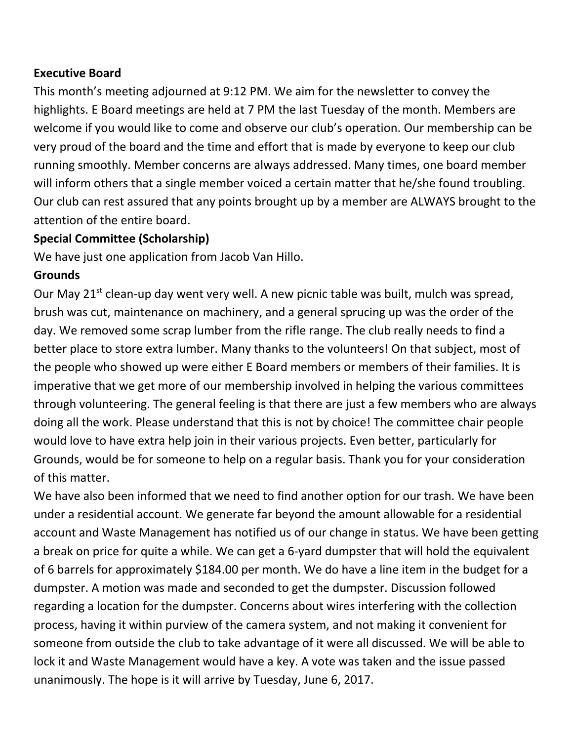#### **Executive Board**

This month's meeting adjourned at 9:12 PM. We aim for the newsletter to convey the highlights. E Board meetings are held at 7 PM the last Tuesday of the month. Members are welcome if you would like to come and observe our club's operation. Our membership can be very proud of the board and the time and effort that is made by everyone to keep our club running smoothly. Member concerns are always addressed. Many times, one board member will inform others that a single member voiced a certain matter that he/she found troubling. Our club can rest assured that any points brought up by a member are ALWAYS brought to the attention of the entire board.

#### **Special Committee (Scholarship)**

We have just one application from Jacob Van Hillo.

#### **Grounds**

Our May 21<sup>st</sup> clean-up day went very well. A new picnic table was built, mulch was spread, brush was cut, maintenance on machinery, and a general sprucing up was the order of the day. We removed some scrap lumber from the rifle range. The club really needs to find a better place to store extra lumber. Many thanks to the volunteers! On that subject, most of the people who showed up were either E Board members or members of their families. It is imperative that we get more of our membership involved in helping the various committees through volunteering. The general feeling is that there are just a few members who are always doing all the work. Please understand that this is not by choice! The committee chair people would love to have extra help join in their various projects. Even better, particularly for Grounds, would be for someone to help on a regular basis. Thank you for your consideration of this matter.

We have also been informed that we need to find another option for our trash. We have been under a residential account. We generate far beyond the amount allowable for a residential account and Waste Management has notified us of our change in status. We have been getting a break on price for quite a while. We can get a 6-yard dumpster that will hold the equivalent of 6 barrels for approximately \$184.00 per month. We do have a line item in the budget for a dumpster. A motion was made and seconded to get the dumpster. Discussion followed regarding a location for the dumpster. Concerns about wires interfering with the collection process, having it within purview of the camera system, and not making it convenient for someone from outside the club to take advantage of it were all discussed. We will be able to lock it and Waste Management would have a key. A vote was taken and the issue passed unanimously. The hope is it will arrive by Tuesday, June 6, 2017.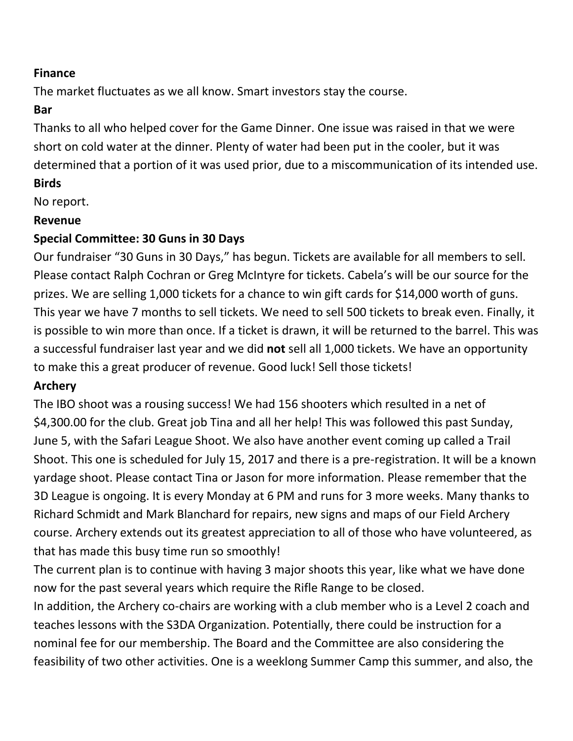#### **Finance**

The market fluctuates as we all know. Smart investors stay the course.

#### **Bar**

Thanks to all who helped cover for the Game Dinner. One issue was raised in that we were short on cold water at the dinner. Plenty of water had been put in the cooler, but it was determined that a portion of it was used prior, due to a miscommunication of its intended use. **Birds**

No report.

#### **Revenue**

## **Special Committee: 30 Guns in 30 Days**

Our fundraiser "30 Guns in 30 Days," has begun. Tickets are available for all members to sell. Please contact Ralph Cochran or Greg McIntyre for tickets. Cabela's will be our source for the prizes. We are selling 1,000 tickets for a chance to win gift cards for \$14,000 worth of guns. This year we have 7 months to sell tickets. We need to sell 500 tickets to break even. Finally, it is possible to win more than once. If a ticket is drawn, it will be returned to the barrel. This was a successful fundraiser last year and we did **not** sell all 1,000 tickets. We have an opportunity to make this a great producer of revenue. Good luck! Sell those tickets!

## **Archery**

The IBO shoot was a rousing success! We had 156 shooters which resulted in a net of \$4,300.00 for the club. Great job Tina and all her help! This was followed this past Sunday, June 5, with the Safari League Shoot. We also have another event coming up called a Trail Shoot. This one is scheduled for July 15, 2017 and there is a pre-registration. It will be a known yardage shoot. Please contact Tina or Jason for more information. Please remember that the 3D League is ongoing. It is every Monday at 6 PM and runs for 3 more weeks. Many thanks to Richard Schmidt and Mark Blanchard for repairs, new signs and maps of our Field Archery course. Archery extends out its greatest appreciation to all of those who have volunteered, as that has made this busy time run so smoothly!

The current plan is to continue with having 3 major shoots this year, like what we have done now for the past several years which require the Rifle Range to be closed.

In addition, the Archery co-chairs are working with a club member who is a Level 2 coach and teaches lessons with the S3DA Organization. Potentially, there could be instruction for a nominal fee for our membership. The Board and the Committee are also considering the feasibility of two other activities. One is a weeklong Summer Camp this summer, and also, the